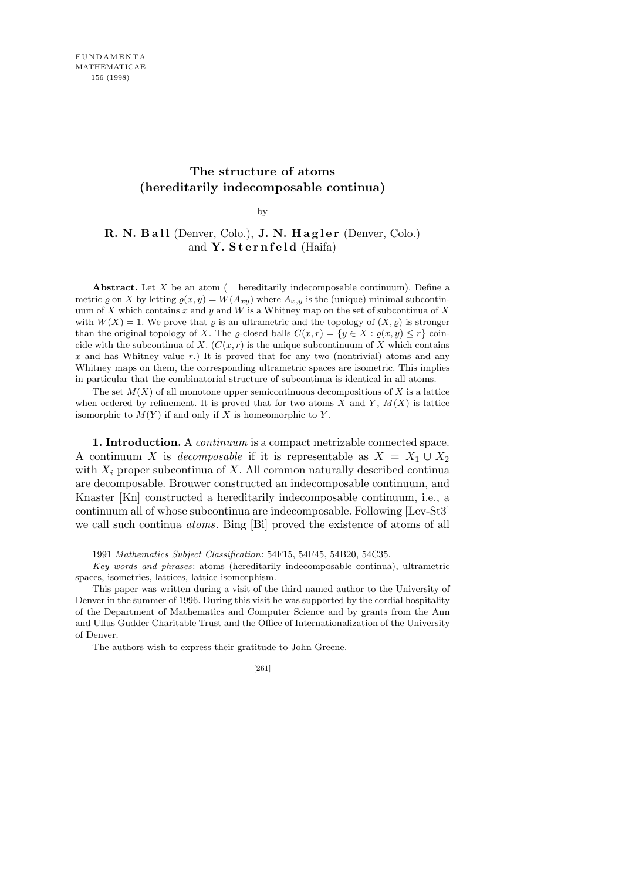## **The structure of atoms (hereditarily indecomposable continua)**

by

## R. N. Ball (Denver, Colo.), **J. N. Hagler** (Denver, Colo.) and **Y. Sternfeld** (Haifa)

**Abstract.** Let *X* be an atom (= hereditarily indecomposable continuum). Define a metric  $\varrho$  on *X* by letting  $\varrho(x, y) = W(A_{xy})$  where  $A_{x,y}$  is the (unique) minimal subcontinuum of *X* which contains *x* and *y* and *W* is a Whitney map on the set of subcontinua of *X* with  $W(X) = 1$ . We prove that  $\varrho$  is an ultrametric and the topology of  $(X, \varrho)$  is stronger than the original topology of *X*. The *g*-closed balls  $C(x, r) = \{y \in X : \varrho(x, y) \leq r\}$  coincide with the subcontinua of *X*.  $(C(x, r)$  is the unique subcontinuum of *X* which contains *x* and has Whitney value *r*.) It is proved that for any two (nontrivial) atoms and any Whitney maps on them, the corresponding ultrametric spaces are isometric. This implies in particular that the combinatorial structure of subcontinua is identical in all atoms.

The set  $M(X)$  of all monotone upper semicontinuous decompositions of X is a lattice when ordered by refinement. It is proved that for two atoms  $X$  and  $Y$ ,  $M(X)$  is lattice isomorphic to  $M(Y)$  if and only if  $X$  is homeomorphic to  $Y$ .

**1. Introduction.** A *continuum* is a compact metrizable connected space. A continuum *X* is *decomposable* if it is representable as  $X = X_1 \cup X_2$ with  $X_i$  proper subcontinua of  $X$ . All common naturally described continua are decomposable. Brouwer constructed an indecomposable continuum, and Knaster [Kn] constructed a hereditarily indecomposable continuum, i.e., a continuum all of whose subcontinua are indecomposable. Following [Lev-St3] we call such continua *atoms*. Bing [Bi] proved the existence of atoms of all

<sup>1991</sup> *Mathematics Subject Classification*: 54F15, 54F45, 54B20, 54C35.

*Key words and phrases*: atoms (hereditarily indecomposable continua), ultrametric spaces, isometries, lattices, lattice isomorphism.

This paper was written during a visit of the third named author to the University of Denver in the summer of 1996. During this visit he was supported by the cordial hospitality of the Department of Mathematics and Computer Science and by grants from the Ann and Ullus Gudder Charitable Trust and the Office of Internationalization of the University of Denver.

The authors wish to express their gratitude to John Greene.

<sup>[261]</sup>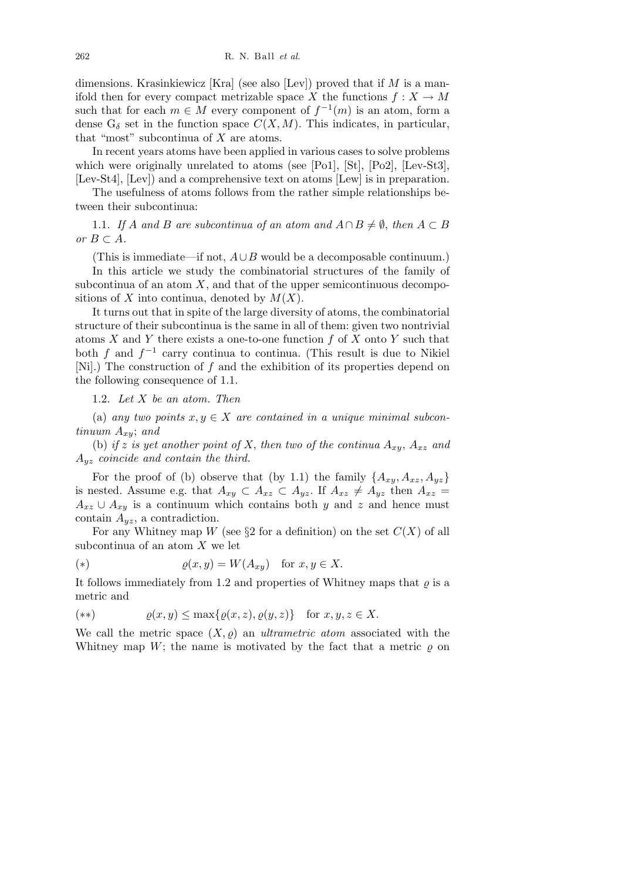dimensions. Krasinkiewicz [Kra] (see also [Lev]) proved that if *M* is a manifold then for every compact metrizable space *X* the functions  $f: X \to M$ such that for each  $m \in M$  every component of  $f^{-1}(m)$  is an atom, form a dense  $G_{\delta}$  set in the function space  $C(X, M)$ . This indicates, in particular, that "most" subcontinua of *X* are atoms.

In recent years atoms have been applied in various cases to solve problems which were originally unrelated to atoms (see [Po1], [St], [Po2], [Lev-St3], [Lev-St4], [Lev]) and a comprehensive text on atoms [Lew] is in preparation.

The usefulness of atoms follows from the rather simple relationships between their subcontinua:

1.1. If *A* and *B* are subcontinua of an atom and  $A \cap B \neq \emptyset$ , then  $A \subset B$  $or B ⊂ A$ *.* 

(This is immediate—if not, *A∪B* would be a decomposable continuum.)

In this article we study the combinatorial structures of the family of subcontinua of an atom  $X$ , and that of the upper semicontinuous decompositions of *X* into continua, denoted by  $M(X)$ .

It turns out that in spite of the large diversity of atoms, the combinatorial structure of their subcontinua is the same in all of them: given two nontrivial atoms *X* and *Y* there exists a one-to-one function *f* of *X* onto *Y* such that both *f* and *f −*1 carry continua to continua. (This result is due to Nikiel [Ni].) The construction of *f* and the exhibition of its properties depend on the following consequence of 1.1.

1.2. *Let X be an atom. Then*

(a) any two points  $x, y \in X$  are contained in a unique minimal subcon*tinuum Axy*; *and*

(b) if *z* is yet another point of *X*, then two of the continua  $A_{xy}$ ,  $A_{xz}$  and *Ayz coincide and contain the third.*

For the proof of (b) observe that (by 1.1) the family  ${A_{xy}, A_{xz}, A_{yz}}$ is nested. Assume e.g. that  $A_{xy} \subset A_{xz} \subset A_{yz}$ . If  $A_{xz} \neq A_{yz}$  then  $A_{xz} =$  $A_{xz} \cup A_{xy}$  is a continuum which contains both *y* and *z* and hence must contain *Ayz*, a contradiction.

For any Whitney map *W* (see  $\S2$  for a definition) on the set  $C(X)$  of all subcontinua of an atom *X* we let

(\*) 
$$
\varrho(x,y) = W(A_{xy}) \text{ for } x, y \in X.
$$

It follows immediately from 1.2 and properties of Whitney maps that  $\rho$  is a metric and

$$
(**) \qquad \qquad \varrho(x,y) \le \max\{\varrho(x,z),\varrho(y,z)\} \quad \text{for } x,y,z \in X.
$$

We call the metric space  $(X, \rho)$  an *ultrametric atom* associated with the Whitney map *W*; the name is motivated by the fact that a metric  $\rho$  on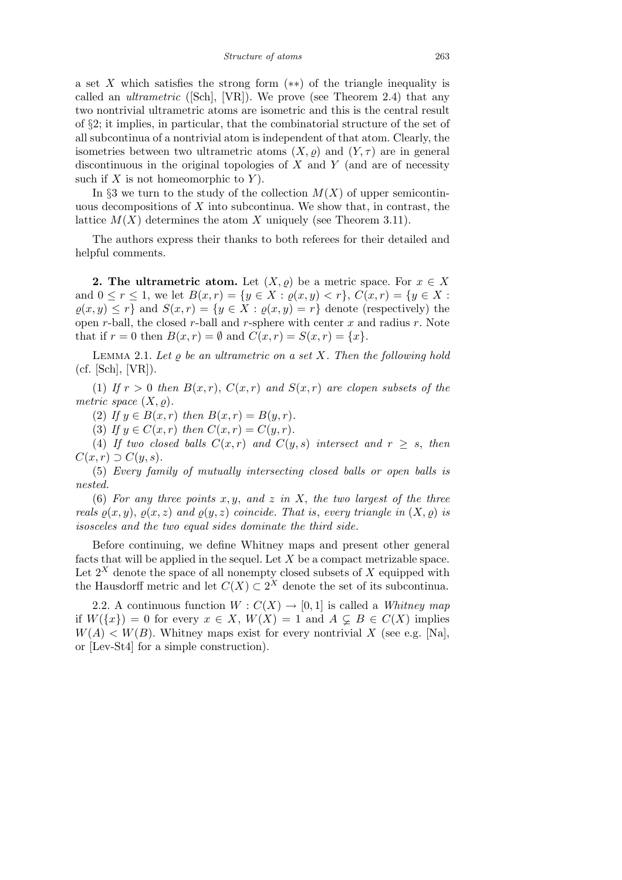a set *X* which satisfies the strong form (*∗∗*) of the triangle inequality is called an *ultrametric* ([Sch], [VR]). We prove (see Theorem 2.4) that any two nontrivial ultrametric atoms are isometric and this is the central result of *§*2; it implies, in particular, that the combinatorial structure of the set of all subcontinua of a nontrivial atom is independent of that atom. Clearly, the isometries between two ultrametric atoms  $(X, \rho)$  and  $(Y, \tau)$  are in general discontinuous in the original topologies of *X* and *Y* (and are of necessity such if *X* is not homeomorphic to *Y* ).

In  $\S$ 3 we turn to the study of the collection  $M(X)$  of upper semicontinuous decompositions of *X* into subcontinua. We show that, in contrast, the lattice  $M(X)$  determines the atom X uniquely (see Theorem 3.11).

The authors express their thanks to both referees for their detailed and helpful comments.

**2. The ultrametric atom.** Let  $(X, \rho)$  be a metric space. For  $x \in X$ and  $0 \leq r \leq 1$ , we let  $B(x,r) = \{y \in X : \varrho(x,y) < r\}$ ,  $C(x,r) = \{y \in X : \varrho(x,r) = \varrho(x,r)\}$  $\varrho(x, y) \leq r$  and  $S(x, r) = \{y \in X : \varrho(x, y) = r\}$  denote (respectively) the open *r*-ball, the closed *r*-ball and *r*-sphere with center *x* and radius *r*. Note that if  $r = 0$  then  $B(x, r) = \emptyset$  and  $C(x, r) = S(x, r) = \{x\}.$ 

LEMMA 2.1. Let  $\rho$  be an ultrametric on a set X. Then the following hold (cf. [Sch], [VR]).

(1) If  $r > 0$  then  $B(x, r)$ ,  $C(x, r)$  and  $S(x, r)$  are clopen subsets of the *metric space*  $(X, \rho)$ *.* 

(2) If  $y \in B(x, r)$  then  $B(x, r) = B(y, r)$ .

(3) *If*  $y \in C(x, r)$  *then*  $C(x, r) = C(y, r)$ *.* 

(4) If two closed balls  $C(x,r)$  and  $C(y,s)$  intersect and  $r \geq s$ , then  $C(x, r) \supset C(y, s)$ .

(5) *Every family of mutually intersecting closed balls or open balls is nested.*

(6) *For any three points x, y, and z in X, the two largest of the three reals*  $\rho(x, y)$ ,  $\rho(x, z)$  *and*  $\rho(y, z)$  *coincide. That is, every triangle in*  $(X, \rho)$  *is isosceles and the two equal sides dominate the third side.*

Before continuing, we define Whitney maps and present other general facts that will be applied in the sequel. Let *X* be a compact metrizable space. Let  $2^X$  denote the space of all nonempty closed subsets of  $X$  equipped with the Hausdorff metric and let  $C(X) \subset 2^X$  denote the set of its subcontinua.

2.2. A continuous function  $W: C(X) \to [0,1]$  is called a *Whitney map* if  $W({x}) = 0$  for every  $x \in X$ ,  $W(X) = 1$  and  $A \subsetneq B \in C(X)$  implies  $W(A) < W(B)$ . Whitney maps exist for every nontrivial *X* (see e.g. [Na], or [Lev-St4] for a simple construction).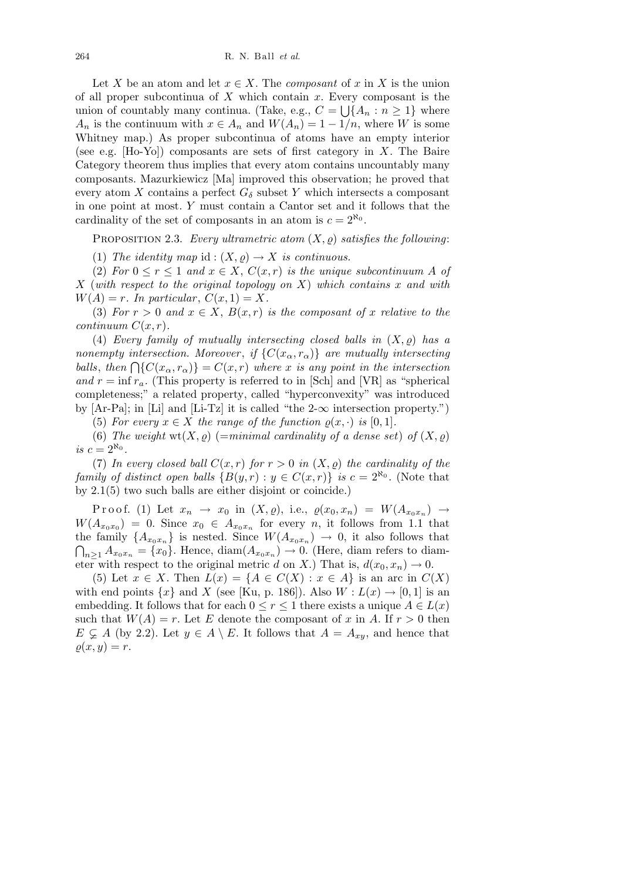Let *X* be an atom and let  $x \in X$ . The *composant* of *x* in *X* is the union of all proper subcontinua of  $X$  which contain  $x$ . Every composant is the union of countably many continua. (Take, e.g.,  $C = \bigcup \{A_n : n \geq 1\}$  where *A<sub>n</sub>* is the continuum with  $x \in A_n$  and  $W(A_n) = 1 - 1/n$ , where *W* is some Whitney map.) As proper subcontinua of atoms have an empty interior (see e.g. [Ho-Yo]) composants are sets of first category in *X*. The Baire Category theorem thus implies that every atom contains uncountably many composants. Mazurkiewicz [Ma] improved this observation; he proved that every atom *X* contains a perfect  $G_{\delta}$  subset *Y* which intersects a composant in one point at most. *Y* must contain a Cantor set and it follows that the cardinality of the set of composants in an atom is  $c = 2^{\aleph_0}$ .

PROPOSITION 2.3. *Every ultrametric atom*  $(X, \rho)$  *satisfies the following*:

(1) *The identity map* id :  $(X, \rho) \rightarrow X$  *is continuous.* 

(2) *For*  $0 \le r \le 1$  *and*  $x \in X$ ,  $C(x,r)$  *is the unique subcontinuum A of X* (*with respect to the original topology on X*) *which contains x and with*  $W(A) = r$ *. In particular,*  $C(x, 1) = X$ *.* 

(3) For  $r > 0$  and  $x \in X$ ,  $B(x, r)$  is the composant of x relative to the *continuum*  $C(x, r)$ *.* 

(4) *Every family of mutually intersecting closed balls in*  $(X, \rho)$  *has a nonempty intersection. Moreover, if*  $\{C(x_\alpha, r_\alpha)\}$  *are mutually intersecting balls*, then  $\bigcap \{C(x_\alpha, r_\alpha)\} = C(x, r)$  where *x is any point in the intersection and*  $r = \inf r_a$ . (This property is referred to in [Sch] and [VR] as "spherical completeness;" a related property, called "hyperconvexity" was introduced by [Ar-Pa]; in [Li] and [Li-Tz] it is called "the 2-*∞* intersection property.")

(5) For every  $x \in X$  the range of the function  $\rho(x, \cdot)$  is [0, 1].

(6) The weight  $wt(X, \rho)$  (=minimal cardinality of a dense set) of  $(X, \rho)$ *is*  $c = 2^{\aleph_0}$ .

(7) In every closed ball  $C(x, r)$  for  $r > 0$  in  $(X, \rho)$  the cardinality of the *family of distinct open balls*  ${B(y, r) : y \in C(x, r)}$  *is*  $c = 2^{\aleph_0}$ . (Note that by 2.1(5) two such balls are either disjoint or coincide.)

 $Proof.$  (1) Let  $x_n \to x_0$  in  $(X, \varrho)$ , i.e.,  $\varrho(x_0, x_n) = W(A_{x_0x_n}) \to$  $W(A_{x_0x_0}) = 0$ . Since  $x_0 \in A_{x_0x_n}$  for every *n*, it follows from 1.1 that the family  ${A_{x_0x_n}}$  is nested. Since  $W(A_{x_0x_n}) \to 0$ , it also follows that  $\tilde{ }$  $A_{x_0x_n} = \{x_0\}$ . Hence, diam $(A_{x_0x_n}) \to 0$ . (Here, diam refers to diameter with respect to the original metric *d* on *X*.) That is,  $d(x_0, x_n) \to 0$ .

(5) Let  $x \in X$ . Then  $L(x) = \{A \in C(X) : x \in A\}$  is an arc in  $C(X)$ with end points  $\{x\}$  and *X* (see [Ku, p. 186]). Also  $W: L(x) \rightarrow [0, 1]$  is an embedding. It follows that for each  $0 \leq r \leq 1$  there exists a unique  $A \in L(x)$ such that  $W(A) = r$ . Let *E* denote the composant of *x* in *A*. If  $r > 0$  then  $E \subsetneq A$  (by 2.2). Let  $y \in A \setminus E$ . It follows that  $A = A_{xy}$ , and hence that  $\rho(x, y) = r.$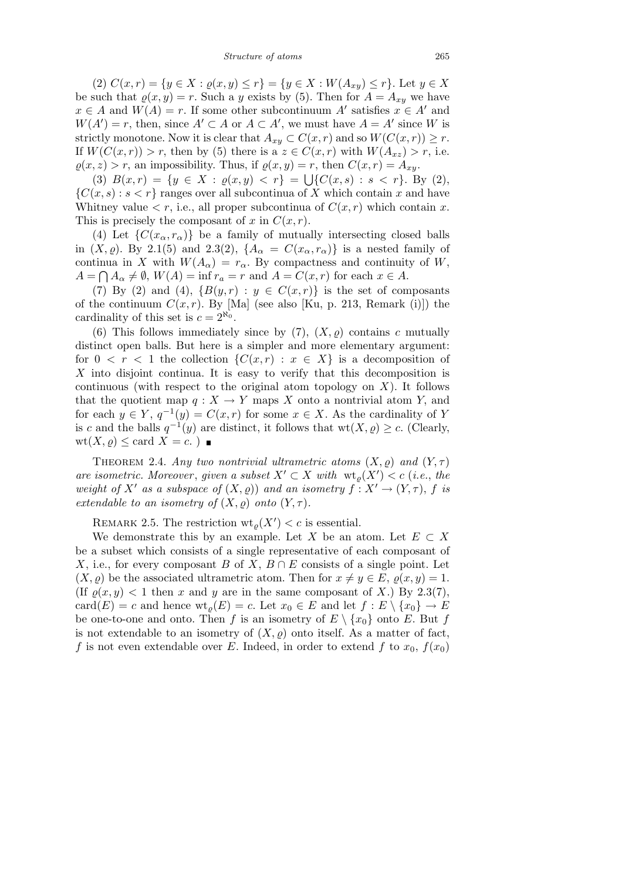(2)  $C(x,r) = \{y \in X : \varrho(x,y) \leq r\} = \{y \in X : W(A_{xy}) \leq r\}.$  Let  $y \in X$ be such that  $\rho(x, y) = r$ . Such a *y* exists by (5). Then for  $A = A_{xy}$  we have  $x \in A$  and  $W(A) = r$ . If some other subcontinuum *A<sup><i>i*</sup></sup> satisfies  $x \in A'$  and  $W(A') = r$ , then, since  $A' \subset A$  or  $A \subset A'$ , we must have  $A = A'$  since *W* is strictly monotone. Now it is clear that  $A_{xy} \subset C(x,r)$  and so  $W(C(x,r)) \geq r$ . If  $W(C(x,r)) > r$ , then by (5) there is a  $z \in C(x,r)$  with  $W(A_{xz}) > r$ , i.e.  $\varrho(x, z) > r$ , an impossibility. Thus, if  $\varrho(x, y) = r$ , then  $C(x, r) = A_{xy}$ .

(3)  $B(x,r) = \{y \in X : \varrho(x,y) < r\} = \bigcup \{C(x,s) : s < r\}$ . By (2),  ${C(x, s) : s < r}$  ranges over all subcontinua of *X* which contain *x* and have Whitney value  $\langle r, i.e., \text{all proper subcontinuous of } C(x, r) \text{ which contain } x.$ This is precisely the composant of  $x$  in  $C(x, r)$ .

(4) Let  $\{C(x_\alpha, r_\alpha)\}\)$  be a family of mutually intersecting closed balls in  $(X, \varrho)$ . By 2.1(5) and 2.3(2),  $\{A_\alpha = C(x_\alpha, r_\alpha)\}\)$  is a nested family of continua in *X* with  $W(A_{\alpha}) = r_{\alpha}$ . By compactness and continuity of *W*,  $A = \bigcap A_{\alpha} \neq \emptyset$ ,  $W(A) = \inf r_{a} = r$  and  $A = C(x, r)$  for each  $x \in A$ .

(7) By (2) and (4),  ${B(y,r) : y \in C(x,r)}$  is the set of composants of the continuum  $C(x, r)$ . By [Ma] (see also [Ku, p. 213, Remark (i)]) the cardinality of this set is  $c = 2^{\aleph_0}$ .

(6) This follows immediately since by  $(7)$ ,  $(X, \rho)$  contains *c* mutually distinct open balls. But here is a simpler and more elementary argument: for  $0 \leq r \leq 1$  the collection  $\{C(x,r) : x \in X\}$  is a decomposition of *X* into disjoint continua. It is easy to verify that this decomposition is continuous (with respect to the original atom topology on *X*). It follows that the quotient map  $q: X \to Y$  maps X onto a nontrivial atom Y, and for each  $y \in Y$ ,  $q^{-1}(y) = C(x, r)$  for some  $x \in X$ . As the cardinality of *Y* is *c* and the balls  $q^{-1}(y)$  are distinct, it follows that  $wt(X, \varrho) \geq c$ . (Clearly,  $wt(X, \varrho) \leq card X = c.$ )

THEOREM 2.4. *Any two nontrivial ultrametric atoms*  $(X, \varrho)$  *and*  $(Y, \tau)$ *are isometric. Moreover, given a subset*  $X' \subset X$  *with*  $\operatorname{wt}_\varrho(X') < c$  (*i.e., the weight of*  $X'$  *as a subspace of*  $(X, \varrho)$  *and an isometry*  $f: X' \to (Y, \tau)$ ,  $f$  *is extendable to an isometry of*  $(X, \varrho)$  *onto*  $(Y, \tau)$ *.* 

REMARK 2.5. The restriction  $\text{wt}_{\varrho}(X') < c$  is essential.

We demonstrate this by an example. Let *X* be an atom. Let  $E \subset X$ be a subset which consists of a single representative of each composant of *X*, i.e., for every composant *B* of *X*,  $B \cap E$  consists of a single point. Let  $(X, \varrho)$  be the associated ultrametric atom. Then for  $x \neq y \in E$ ,  $\varrho(x, y) = 1$ . (If  $\rho(x, y) < 1$  then *x* and *y* are in the same composant of *X*.) By 2.3(7),  $card(E) = c$  and hence  $wt_o(E) = c$ . Let  $x_0 \in E$  and let  $f : E \setminus \{x_0\} \to E$ be one-to-one and onto. Then *f* is an isometry of  $E \setminus \{x_0\}$  onto *E*. But *f* is not extendable to an isometry of  $(X, \rho)$  onto itself. As a matter of fact, f is not even extendable over E. Indeed, in order to extend f to  $x_0$ ,  $f(x_0)$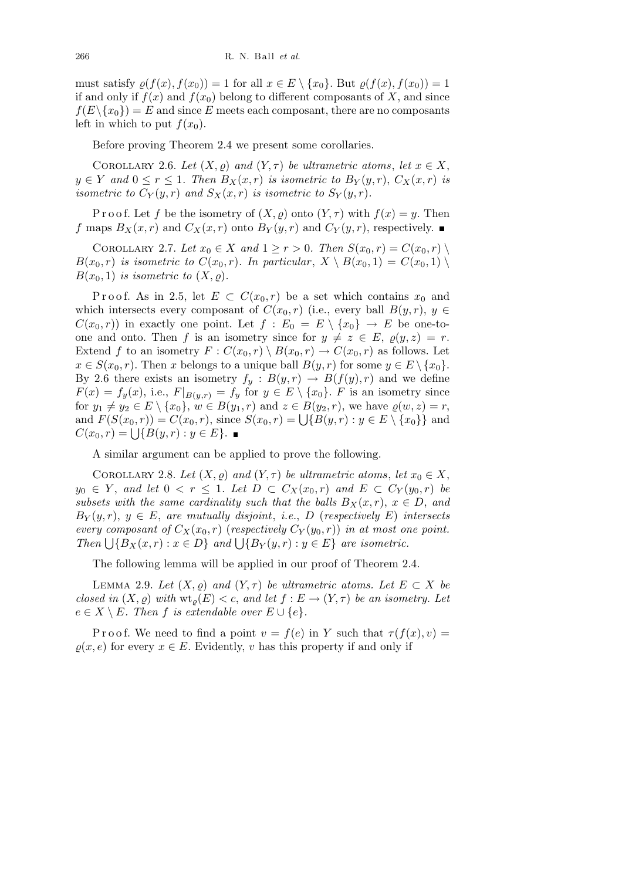must satisfy  $\rho(f(x), f(x_0)) = 1$  for all  $x \in E \setminus \{x_0\}$ . But  $\rho(f(x), f(x_0)) = 1$ if and only if  $f(x)$  and  $f(x_0)$  belong to different composants of X, and since  $f(E \setminus \{x_0\}) = E$  and since *E* meets each composant, there are no composants left in which to put  $f(x_0)$ .

Before proving Theorem 2.4 we present some corollaries.

COROLLARY 2.6. *Let*  $(X, \rho)$  *and*  $(Y, \tau)$  *be ultrametric atoms, let*  $x \in X$ ,  $y \in Y$  *and*  $0 \le r \le 1$ *. Then*  $B_X(x,r)$  *is isometric to*  $B_Y(y,r)$ ,  $C_X(x,r)$  *is isometric to*  $C_Y(y,r)$  *and*  $S_X(x,r)$  *is isometric to*  $S_Y(y,r)$ *.* 

P r o o f. Let f be the isometry of  $(X, \rho)$  onto  $(Y, \tau)$  with  $f(x) = y$ . Then *f* maps  $B_X(x,r)$  and  $C_X(x,r)$  onto  $B_Y(y,r)$  and  $C_Y(y,r)$ , respectively.

COROLLARY 2.7. Let  $x_0 \in X$  and  $1 \ge r > 0$ . Then  $S(x_0, r) = C(x_0, r)$  $B(x_0, r)$  *is isometric to*  $C(x_0, r)$ *. In particular,*  $X \setminus B(x_0, 1) = C(x_0, 1) \setminus$  $B(x_0, 1)$  *is isometric to*  $(X, \rho)$ *.* 

Proof. As in 2.5, let  $E \subset C(x_0,r)$  be a set which contains  $x_0$  and which intersects every composant of  $C(x_0, r)$  (i.e., every ball  $B(y, r)$ ,  $y \in$  $C(x_0, r)$  in exactly one point. Let  $f : E_0 = E \setminus \{x_0\} \to E$  be one-toone and onto. Then *f* is an isometry since for  $y \neq z \in E$ ,  $\varrho(y, z) = r$ . Extend *f* to an isometry  $F: C(x_0, r) \setminus B(x_0, r) \to C(x_0, r)$  as follows. Let  $x \in S(x_0, r)$ . Then *x* belongs to a unique ball  $B(y, r)$  for some  $y \in E \setminus \{x_0\}$ . By 2.6 there exists an isometry  $f_y : B(y, r) \to B(f(y), r)$  and we define  $F(x) = f_y(x)$ , i.e.,  $F|_{B(y,r)} = f_y$  for  $y \in E \setminus \{x_0\}$ . *F* is an isometry since for  $y_1 \neq y_2 \in E \setminus \{x_0\}$ ,  $w \in B(y_1, r)$  and  $z \in B(y_2, r)$ , we have  $\varrho(w, z) = r$ ,  $F(S(x_0, r)) = C(x_0, r)$ , since  $S(x_0, r) = \bigcup \{B(y, r) : y \in E \setminus \{x_0\}\}\$ and  $F(S(x_0, r)) = C(x_0, r)$ , since  $S(x_0, r) = \bigcup \{B(y, r) : y \in E \setminus \{x_0\}\}\$ and  $C(x_0, r) = \bigcup \{B(y, r) : y \in E\}.$ 

A similar argument can be applied to prove the following.

COROLLARY 2.8. *Let*  $(X, \varrho)$  *and*  $(Y, \tau)$  *be ultrametric atoms, let*  $x_0 \in X$ , *y*<sub>0</sub> ∈ *Y*, *and let* 0 < *r* ≤ 1*. Let*  $D \subset C_X(x_0, r)$  *and*  $E \subset C_Y(y_0, r)$  *be subsets with the same cardinality such that the balls*  $B_X(x,r)$ ,  $x \in D$ , and  $B_Y(y, r)$ ,  $y \in E$ , *are mutually disjoint*, *i.e.*, *D* (*respectively E*) *intersects every composant of*  $C_X(x_0, r)$  (*respectively*  $C_Y(y_0, r)$ ) *in at most one point. Finally F (i)*  $X(x_0, r)$  (*respectively*  $C_Y(y_0, r)$ ) *in at most of Then*  $\bigcup \{B_X(x, r) : x \in D\}$  *and*  $\bigcup \{B_Y(y, r) : y \in E\}$  *are isometric.* 

The following lemma will be applied in our proof of Theorem 2.4.

LEMMA 2.9. Let  $(X, \varrho)$  and  $(Y, \tau)$  be ultrametric atoms. Let  $E \subset X$  be *closed in*  $(X, \varrho)$  *with*  $\operatorname{wt}_{\varrho}(E) < c$ , *and let*  $f : E \to (Y, \tau)$  *be an isometry. Let*  $e \in X \setminus E$ *. Then*  $f$  *is extendable over*  $E \cup \{e\}$ *.* 

P r o o f. We need to find a point  $v = f(e)$  in Y such that  $\tau(f(x), v) =$  $\rho(x, e)$  for every  $x \in E$ . Evidently, *v* has this property if and only if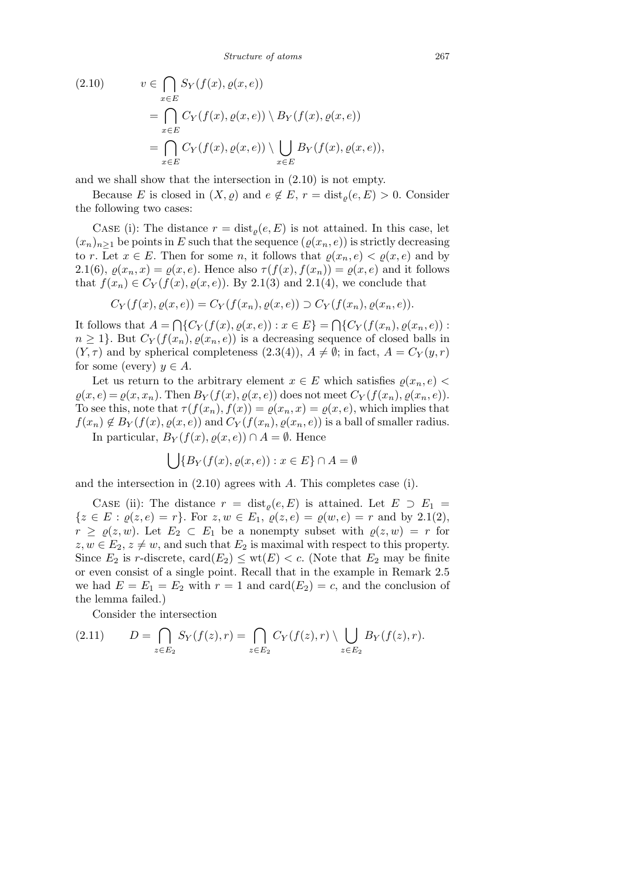*Structure of atoms* 267

(2.10) 
$$
v \in \bigcap_{x \in E} S_Y(f(x), \varrho(x, e))
$$

$$
= \bigcap_{x \in E} C_Y(f(x), \varrho(x, e)) \setminus B_Y(f(x), \varrho(x, e))
$$

$$
= \bigcap_{x \in E} C_Y(f(x), \varrho(x, e)) \setminus \bigcup_{x \in E} B_Y(f(x), \varrho(x, e)),
$$

and we shall show that the intersection in (2.10) is not empty.

Because *E* is closed in  $(X, \varrho)$  and  $e \notin E$ ,  $r = \text{dist}_{\varrho}(e, E) > 0$ . Consider the following two cases:

CASE (i): The distance  $r = \text{dist}_{\rho}(e, E)$  is not attained. In this case, let  $(x_n)_{n>1}$  be points in *E* such that the sequence  $(\varrho(x_n, e))$  is strictly decreasing to *r*. Let  $x \in E$ . Then for some *n*, it follows that  $\varrho(x_n, e) < \varrho(x, e)$  and by 2.1(6),  $\varrho(x_n, x) = \varrho(x, e)$ . Hence also  $\tau(f(x), f(x_n)) = \varrho(x, e)$  and it follows that  $f(x_n) \in C_Y(f(x), \rho(x, e))$ . By 2.1(3) and 2.1(4), we conclude that

$$
C_Y(f(x), \varrho(x, e)) = C_Y(f(x_n), \varrho(x, e)) \supset C_Y(f(x_n), \varrho(x_n, e)).
$$

It follows that *A* =  $\overline{a}$  ${C_Y(f(x), \varrho(x, e)) : x \in E}$  $\overline{a}$  ${C_Y(f(x_n), \varrho(x_n, e))}$ :  $n \geq 1$ }. But  $C_Y(f(x_n), \rho(x_n, e))$  is a decreasing sequence of closed balls in  $(Y, \tau)$  and by spherical completeness  $(2.3(4)), A \neq \emptyset$ ; in fact,  $A = C_Y(y, r)$ for some (every)  $y \in A$ .

Let us return to the arbitrary element  $x \in E$  which satisfies  $\varrho(x_n, e)$  $\varrho(x, e) = \varrho(x, x_n)$ . Then  $B_Y(f(x), \varrho(x, e))$  does not meet  $C_Y(f(x_n), \varrho(x_n, e))$ . To see this, note that  $\tau(f(x_n), f(x)) = \varrho(x_n, x) = \varrho(x, e)$ , which implies that  $f(x_n) \notin B_Y(f(x), \varrho(x, e))$  and  $C_Y(f(x_n), \varrho(x_n, e))$  is a ball of smaller radius. In particular,  $B_Y(f(x), \varrho(x, e)) \cap A = \emptyset$ . Hence

$$
\bigcup \{ B_Y(f(x), \varrho(x, e)) : x \in E \} \cap A = \emptyset
$$

and the intersection in (2.10) agrees with *A*. This completes case (i).

CASE (ii): The distance  $r = dist_o(e, E)$  is attained. Let  $E \supset E_1 =$  $\{z \in E : \varrho(z, e) = r\}$ . For  $z, w \in E_1$ ,  $\varrho(z, e) = \varrho(w, e) = r$  and by 2.1(2), *r* ≥  $\varrho(z, w)$ . Let  $E_2 \subset E_1$  be a nonempty subset with  $\varrho(z, w) = r$  for  $z, w \in E_2, z \neq w$ , and such that  $E_2$  is maximal with respect to this property. Since  $E_2$  is *r*-discrete, card $(E_2) \leq \text{wt}(E) < c$ . (Note that  $E_2$  may be finite or even consist of a single point. Recall that in the example in Remark 2.5 we had  $E = E_1 = E_2$  with  $r = 1$  and  $card(E_2) = c$ , and the conclusion of the lemma failed.)

Consider the intersection

(2.11) 
$$
D = \bigcap_{z \in E_2} S_Y(f(z), r) = \bigcap_{z \in E_2} C_Y(f(z), r) \setminus \bigcup_{z \in E_2} B_Y(f(z), r).
$$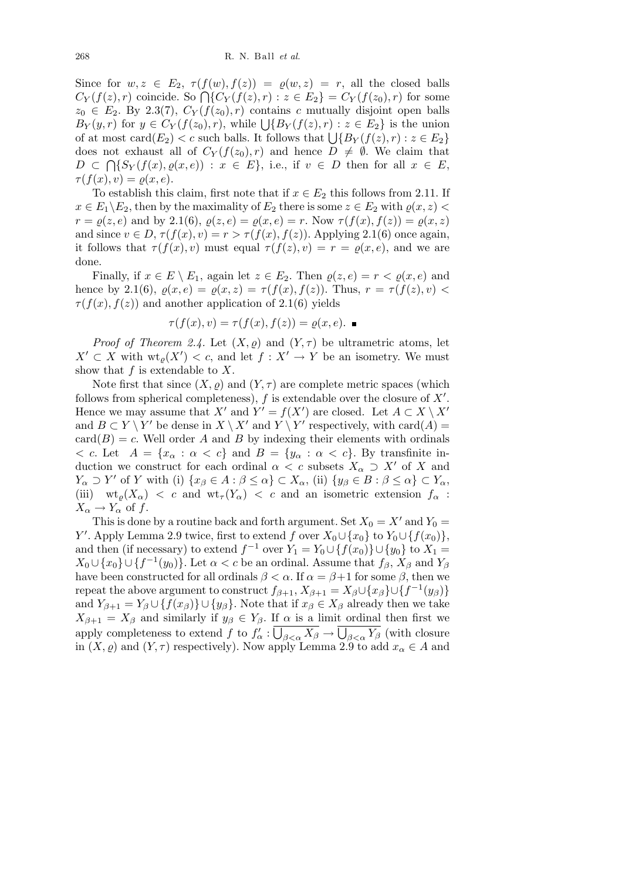Since for  $w, z \in E_2$ ,  $\tau(f(w), f(z)) = \varrho(w, z) = r$ , all the closed balls Since for  $w, z \in E_2$ ,  $\tau(f(w), f(z)) = \varrho(w, z) = r$ , and the closed bands  $C_Y(f(z), r)$  coincide. So  $\bigcap \{C_Y(f(z), r) : z \in E_2\} = C_Y(f(z_0), r)$  for some  $z_0 \in E_2$ . By 2.3(7),  $C_Y(f(z_0), r)$  contains *c* mutually disjoint open balls  $B_Y(y, r)$  for  $y \in C_Y(f(z_0), r)$ , while  $\bigcup \{B_Y(f(z), r) : z \in E_2\}$  is the union  $D_Y(y, r)$  for  $y \in C_Y(f(z_0), r)$ , while  $\bigcup \{D_Y(f(z), r) : z \in E_2\}$  is the union of at most card $(E_2) < c$  such balls. It follows that  $\bigcup \{B_Y(f(z), r) : z \in E_2\}$ does not exhaust all of  $C_Y(f(z_0), r)$  and hence  $D \neq \emptyset$ . We claim that  $D \subset \bigcap \{S_Y(f(x), \varrho(x, e)) : x \in E\}$ , i.e., if  $v \in D$  then for all  $x \in E$ ,  $\tau(f(x), v) = \varrho(x, e).$ 

To establish this claim, first note that if  $x \in E_2$  this follows from 2.11. If  $x \in E_1 \backslash E_2$ , then by the maximality of  $E_2$  there is some  $z \in E_2$  with  $\varrho(x, z)$ *r* =  $\varrho(z, e)$  and by 2.1(6),  $\varrho(z, e) = \varrho(x, e) = r$ . Now  $\tau(f(x), f(z)) = \varrho(x, z)$ and since  $v \in D$ ,  $\tau(f(x), v) = r > \tau(f(x), f(z))$ . Applying 2.1(6) once again, it follows that  $\tau(f(x), v)$  must equal  $\tau(f(z), v) = r = \varrho(x, e)$ , and we are done.

Finally, if  $x \in E \setminus E_1$ , again let  $z \in E_2$ . Then  $\varrho(z, e) = r \lt \varrho(x, e)$  and hence by 2.1(6),  $\rho(x, e) = \rho(x, z) = \tau(f(x), f(z))$ . Thus,  $r = \tau(f(z), v)$  $\tau(f(x), f(z))$  and another application of 2.1(6) yields

$$
\tau(f(x), v) = \tau(f(x), f(z)) = \varrho(x, e). \quad \blacksquare
$$

*Proof of Theorem 2.4.* Let  $(X, \varrho)$  and  $(Y, \tau)$  be ultrametric atoms, let  $X' \subset X$  with  $\operatorname{wt}_{\varrho}(X') < c$ , and let  $f : X' \to Y$  be an isometry. We must show that *f* is extendable to *X*.

Note first that since  $(X, \rho)$  and  $(Y, \tau)$  are complete metric spaces (which follows from spherical completeness),  $f$  is extendable over the closure of  $X'$ . Hence we may assume that  $X'$  and  $Y' = f(X')$  are closed. Let  $A \subset X \setminus X'$ and  $B \subset Y \setminus Y'$  be dense in  $X \setminus X'$  and  $Y \setminus Y'$  respectively, with card(*A*) =  $card(B) = c$ . Well order *A* and *B* by indexing their elements with ordinals  $\langle c, c \rangle$  Let  $A = \{x_\alpha : \alpha < c\}$  and  $B = \{y_\alpha : \alpha < c\}$ . By transfinite induction we construct for each ordinal  $\alpha < c$  subsets  $X_{\alpha} \supset X'$  of X and  $Y_{\alpha} \supset Y'$  of Y with (i)  $\{x_{\beta} \in A : \beta \leq \alpha\} \subset X_{\alpha}$ , (ii)  $\{y_{\beta} \in B : \beta \leq \alpha\} \subset Y_{\alpha}$ , (iii)  $wt_{\rho}(X_{\alpha}) < c$  and  $wt_{\tau}(Y_{\alpha}) < c$  and an isometric extension  $f_{\alpha}$ :  $X_{\alpha} \to Y_{\alpha}$  of *f*.

This is done by a routine back and forth argument. Set  $X_0 = X'$  and  $Y_0 = Y'$ *Y*<sup>*l*</sup>. Apply Lemma 2.9 twice, first to extend *f* over  $X_0 \cup \{x_0\}$  to  $Y_0 \cup \{f(x_0)\}$ , and then (if necessary) to extend  $f^{-1}$  over  $Y_1 = Y_0 \cup \{f(x_0)\} \cup \{y_0\}$  to  $X_1 =$  $X_0 \cup \{x_0\} \cup \{f^{-1}(y_0)\}$ . Let  $\alpha < c$  be an ordinal. Assume that  $f_\beta$ ,  $X_\beta$  and  $Y_\beta$ have been constructed for all ordinals  $\beta < \alpha$ . If  $\alpha = \beta + 1$  for some  $\beta$ , then we repeat the above argument to construct  $f_{\beta+1}$ ,  $X_{\beta+1} = X_{\beta} \cup \{x_{\beta}\} \cup \{f^{-1}(y_{\beta})\}$ and  $Y_{\beta+1} = Y_{\beta} \cup \{f(x_{\beta})\} \cup \{y_{\beta}\}\$ . Note that if  $x_{\beta} \in X_{\beta}$  already then we take  $X_{\beta+1} = X_{\beta}$  and similarly if  $y_{\beta} \in Y_{\beta}$ . If  $\alpha$  is a limit ordinal then first we apply completeness to extend  $f$  to  $f'_{\alpha}: \overline{\bigcup_{\beta<\alpha} X_{\beta}} \to \overline{\bigcup_{\beta<\alpha} Y_{\beta}}$  (with closure in  $(X, \varrho)$  and  $(Y, \tau)$  respectively). Now apply Lemma 2.9 to add  $x_\alpha \in A$  and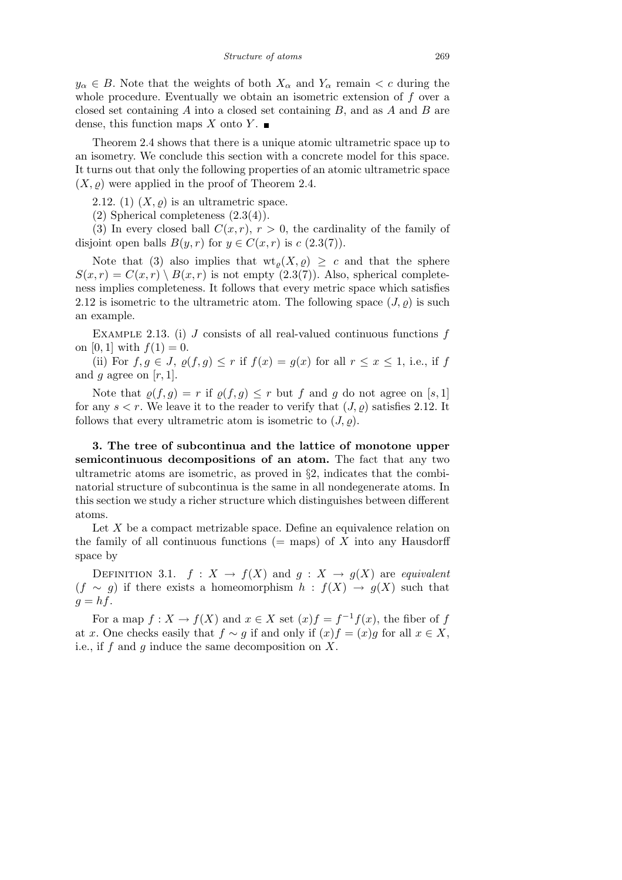$y_{\alpha} \in B$ . Note that the weights of both  $X_{\alpha}$  and  $Y_{\alpha}$  remain  $\lt c$  during the whole procedure. Eventually we obtain an isometric extension of *f* over a closed set containing *A* into a closed set containing *B,* and as *A* and *B* are dense, this function maps *X* onto *Y*.

Theorem 2.4 shows that there is a unique atomic ultrametric space up to an isometry. We conclude this section with a concrete model for this space. It turns out that only the following properties of an atomic ultrametric space  $(X, \rho)$  were applied in the proof of Theorem 2.4.

2.12. (1)  $(X, \rho)$  is an ultrametric space.

(2) Spherical completeness (2.3(4)).

(3) In every closed ball  $C(x, r)$ ,  $r > 0$ , the cardinality of the family of disjoint open balls  $B(y, r)$  for  $y \in C(x, r)$  is  $c(2.3(7))$ .

Note that (3) also implies that  $wt_{\rho}(X, \rho) \geq c$  and that the sphere  $S(x, r) = C(x, r) \setminus B(x, r)$  is not empty (2.3(7)). Also, spherical completeness implies completeness. It follows that every metric space which satisfies 2.12 is isometric to the ultrametric atom. The following space  $(J, \rho)$  is such an example.

Example 2.13. (i) *J* consists of all real-valued continuous functions *f* on [0, 1] with  $f(1) = 0$ .

(ii) For  $f, g \in J$ ,  $\rho(f, g) \leq r$  if  $f(x) = g(x)$  for all  $r \leq x \leq 1$ , i.e., if f and *q* agree on  $[r, 1]$ .

Note that  $\rho(f,g) = r$  if  $\rho(f,g) \leq r$  but f and g do not agree on [s, 1] for any  $s < r$ . We leave it to the reader to verify that  $(J, \rho)$  satisfies 2.12. It follows that every ultrametric atom is isometric to  $(J, \rho)$ .

**3. The tree of subcontinua and the lattice of monotone upper semicontinuous decompositions of an atom.** The fact that any two ultrametric atoms are isometric, as proved in *§*2, indicates that the combinatorial structure of subcontinua is the same in all nondegenerate atoms. In this section we study a richer structure which distinguishes between different atoms.

Let X be a compact metrizable space. Define an equivalence relation on the family of all continuous functions  $(=$  maps) of  $X$  into any Hausdorff space by

DEFINITION 3.1.  $f: X \to f(X)$  and  $g: X \to g(X)$  are *equivalent*  $(f \sim g)$  if there exists a homeomorphism  $h : f(X) \to g(X)$  such that  $q = hf$ .

For a map  $f: X \to f(X)$  and  $x \in X$  set  $(x)f = f^{-1}f(x)$ , the fiber of *f* at *x*. One checks easily that  $f \sim g$  if and only if  $(x)f = (x)g$  for all  $x \in X$ , i.e., if *f* and *g* induce the same decomposition on *X*.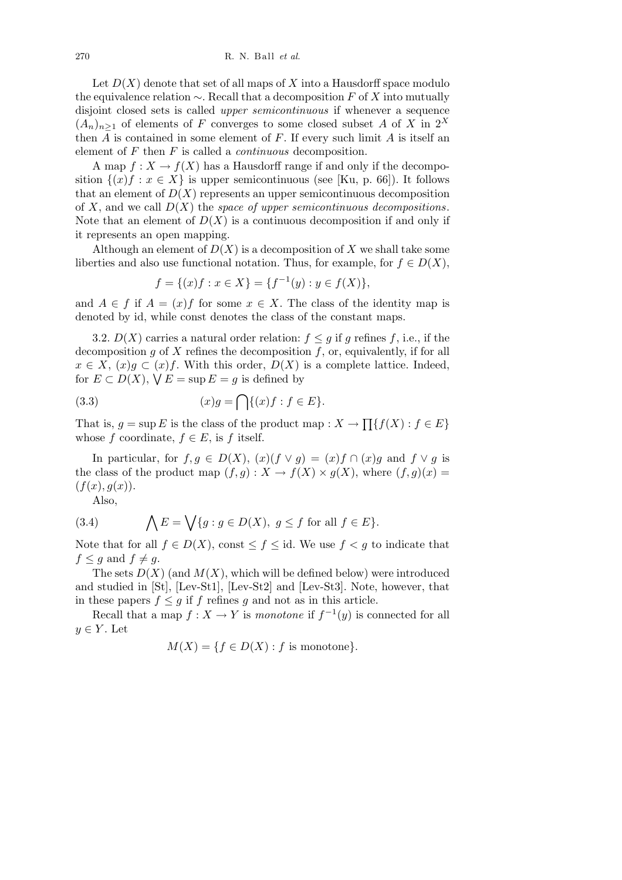Let  $D(X)$  denote that set of all maps of X into a Hausdorff space modulo the equivalence relation *∼*. Recall that a decomposition *F* of *X* into mutually disjoint closed sets is called *upper semicontinuous* if whenever a sequence  $(A_n)_{n\geq 1}$  of elements of *F* converges to some closed subset *A* of *X* in  $2^X$ then *A* is contained in some element of *F*. If every such limit *A* is itself an element of *F* then *F* is called a *continuous* decomposition.

A map  $f: X \to f(X)$  has a Hausdorff range if and only if the decomposition  $\{(x)f : x \in X\}$  is upper semicontinuous (see [Ku, p. 66]). It follows that an element of  $D(X)$  represents an upper semicontinuous decomposition of *X*, and we call *D*(*X*) the *space of upper semicontinuous decompositions*. Note that an element of  $D(X)$  is a continuous decomposition if and only if it represents an open mapping.

Although an element of  $D(X)$  is a decomposition of X we shall take some liberties and also use functional notation. Thus, for example, for  $f \in D(X)$ ,

$$
f = \{(x)f : x \in X\} = \{f^{-1}(y) : y \in f(X)\},\
$$

and  $A \in f$  if  $A = (x)f$  for some  $x \in X$ . The class of the identity map is denoted by id, while const denotes the class of the constant maps.

3.2.  $D(X)$  carries a natural order relation:  $f \leq g$  if g refines f, i.e., if the decomposition *g* of *X* refines the decomposition *f*, or, equivalently, if for all  $x \in X$ ,  $(x)g \subset (x)f$ . With this order,  $D(X)$  is a complete lattice. Indeed, for  $E \subset D(X)$ ,  $\forall E = \sup E = g$  is defined by

(3.3) 
$$
(x)g = \bigcap \{(x)f : f \in E\}.
$$

That is,  $g = \sup E$  is the class of the product map :  $X \to$  $\overline{ }$ *{f*(*X*) : *f ∈ E}* whose *f* coordinate,  $f \in E$ , is *f* itself.

In particular, for  $f, g \in D(X)$ ,  $(x)(f \vee g) = (x)f \cap (x)g$  and  $f \vee g$  is the class of the product map  $(f, g) : X \to f(X) \times g(X)$ , where  $(f, g)(x) =$  $(f(x), g(x)).$ 

Also,

(3.4) 
$$
\bigwedge E = \bigvee \{g : g \in D(X), g \le f \text{ for all } f \in E\}.
$$

Note that for all  $f \in D(X)$ , const  $\leq f \leq id$ . We use  $f < g$  to indicate that  $f \leq g$  and  $f \neq g$ .

The sets  $D(X)$  (and  $M(X)$ , which will be defined below) were introduced and studied in [St], [Lev-St1], [Lev-St2] and [Lev-St3]. Note, however, that in these papers  $f \leq g$  if  $f$  refines  $g$  and not as in this article.

Recall that a map  $f: X \to Y$  is *monotone* if  $f^{-1}(y)$  is connected for all  $y \in Y$ . Let

$$
M(X) = \{ f \in D(X) : f \text{ is monotone} \}.
$$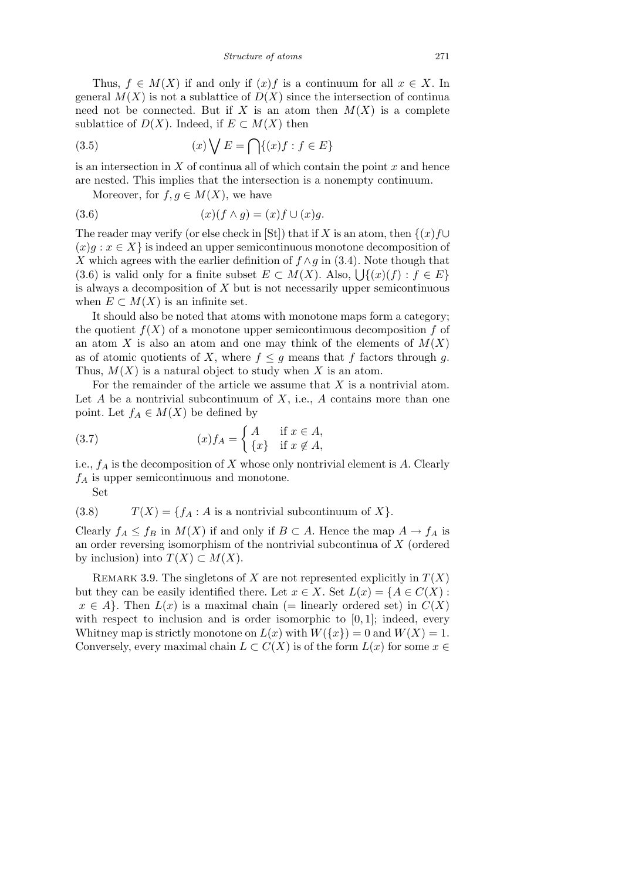Thus,  $f \in M(X)$  if and only if  $(x)f$  is a continuum for all  $x \in X$ . In general  $M(X)$  is not a sublattice of  $D(X)$  since the intersection of continua need not be connected. But if X is an atom then  $M(X)$  is a complete sublattice of  $D(X)$ . Indeed, if  $E \subset M(X)$  then

(3.5) 
$$
(x)\bigvee E = \bigcap \{(x)f : f \in E\}
$$

is an intersection in *X* of continua all of which contain the point *x* and hence are nested. This implies that the intersection is a nonempty continuum.

Moreover, for  $f, g \in M(X)$ , we have

$$
(3.6) \qquad \qquad (x)(f \wedge g) = (x)f \cup (x)g.
$$

The reader may verify (or else check in [St]) that if *X* is an atom, then  $\{(x)f\cup$  $(x)g : x \in X$  is indeed an upper semicontinuous monotone decomposition of *X* which agrees with the earlier definition of  $f \wedge g$  in (3.4). Note though that A which agrees with the earlier definition of  $f \wedge g$  in (3.4). Note though that  $(3.6)$  is valid only for a finite subset  $E \subset M(X)$ . Also,  $\bigcup \{(x)(f) : f \in E\}$ is always a decomposition of *X* but is not necessarily upper semicontinuous when  $E \subset M(X)$  is an infinite set.

It should also be noted that atoms with monotone maps form a category; the quotient  $f(X)$  of a monotone upper semicontinuous decomposition  $f$  of an atom *X* is also an atom and one may think of the elements of  $M(X)$ as of atomic quotients of *X*, where  $f \leq g$  means that *f* factors through *g*. Thus,  $M(X)$  is a natural object to study when X is an atom.

For the remainder of the article we assume that *X* is a nontrivial atom. Let  $A$  be a nontrivial subcontinuum of  $X$ , i.e.,  $A$  contains more than one point. Let  $f_A \in M(X)$  be defined by

(3.7) 
$$
(x) f_A = \begin{cases} A & \text{if } x \in A, \\ \{x\} & \text{if } x \notin A, \end{cases}
$$

i.e., *f<sup>A</sup>* is the decomposition of *X* whose only nontrivial element is *A*. Clearly *f<sup>A</sup>* is upper semicontinuous and monotone.

Set

(3.8) 
$$
T(X) = \{f_A : A \text{ is a nontrivial subcontinuum of } X\}.
$$

Clearly  $f_A \leq f_B$  in  $M(X)$  if and only if  $B \subset A$ . Hence the map  $A \to f_A$  is an order reversing isomorphism of the nontrivial subcontinua of *X* (ordered by inclusion) into  $T(X) \subset M(X)$ .

REMARK 3.9. The singletons of *X* are not represented explicitly in  $T(X)$ but they can be easily identified there. Let  $x \in X$ . Set  $L(x) = \{A \in C(X) :$  $x \in A$ . Then  $L(x)$  is a maximal chain (= linearly ordered set) in  $C(X)$ with respect to inclusion and is order isomorphic to [0, 1]; indeed, every Whitney map is strictly monotone on  $L(x)$  with  $W({x}) = 0$  and  $W(X) = 1$ . Conversely, every maximal chain  $L \subset C(X)$  is of the form  $L(x)$  for some  $x \in$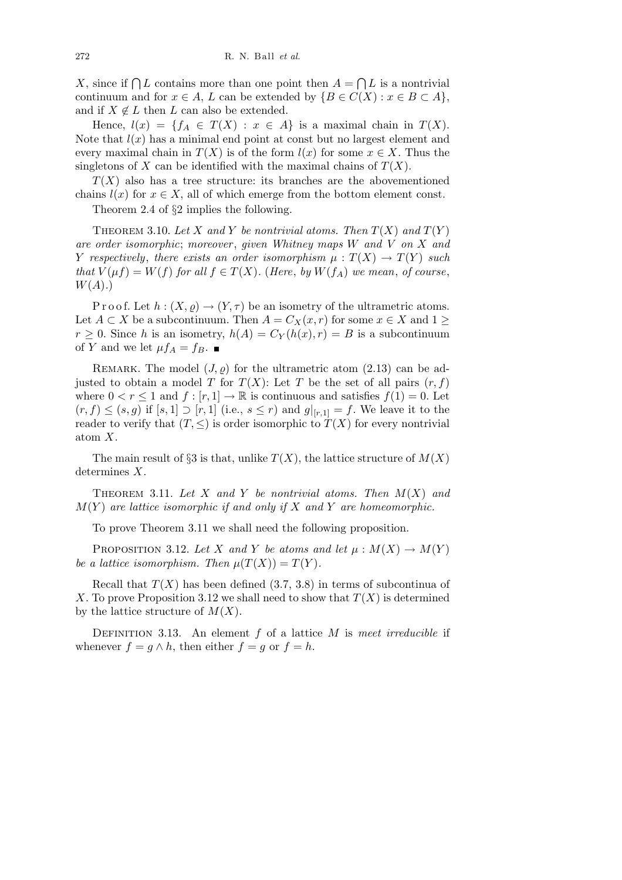*X*, since if  $\bigcap L$  contains more than one point then  $A =$  $\overline{a}$ *L* is a nontrivial continuum and for  $x \in A$ ,  $L$  can be extended by  $\{B \in C(X) : x \in B \subset A\}$ , and if  $X \notin L$  then  $L$  can also be extended.

Hence,  $l(x) = \{f_A \in T(X) : x \in A\}$  is a maximal chain in  $T(X)$ . Note that  $l(x)$  has a minimal end point at const but no largest element and every maximal chain in  $T(X)$  is of the form  $l(x)$  for some  $x \in X$ . Thus the singletons of *X* can be identified with the maximal chains of  $T(X)$ .

 $T(X)$  also has a tree structure: its branches are the abovementioned chains  $l(x)$  for  $x \in X$ , all of which emerge from the bottom element const.

Theorem 2.4 of *§*2 implies the following.

THEOREM 3.10. Let X and Y be nontrivial atoms. Then  $T(X)$  and  $T(Y)$ *are order isomorphic*; *moreover* , *given Whitney maps W and V on X and Y respectively, there exists an order isomorphism*  $\mu : T(X) \to T(Y)$  *such that*  $V(\mu f) = W(f)$  *for all*  $f \in T(X)$ *.* (*Here, by*  $W(f_A)$  *we mean, of course, W*(*A*)*.*)

P r o o f. Let  $h: (X, \rho) \to (Y, \tau)$  be an isometry of the ultrametric atoms. Let *A*  $\subset$  *X* be a subcontinuum. Then *A* =  $C_X(x, r)$  for some  $x \in X$  and 1  $\geq$  $r \geq 0$ . Since *h* is an isometry,  $h(A) = C_Y(h(x), r) = B$  is a subcontinuum of *Y* and we let  $\mu f_A = f_B$ .

REMARK. The model  $(J, \rho)$  for the ultrametric atom  $(2.13)$  can be adjusted to obtain a model *T* for  $T(X)$ : Let *T* be the set of all pairs  $(r, f)$ where  $0 < r \leq 1$  and  $f : [r, 1] \to \mathbb{R}$  is continuous and satisfies  $f(1) = 0$ . Let (*r, f*) *≤* (*s, g*) if [*s,* 1] *⊃* [*r,* 1] (i.e., *s ≤ r*) and *g|*[*r,*1] = *f*. We leave it to the reader to verify that  $(T, \leq)$  is order isomorphic to  $T(X)$  for every nontrivial atom *X*.

The main result of  $\S 3$  is that, unlike  $T(X)$ , the lattice structure of  $M(X)$ determines *X*.

THEOREM 3.11. Let X and Y be nontrivial atoms. Then  $M(X)$  and *M*(*Y* ) *are lattice isomorphic if and only if X and Y are homeomorphic.*

To prove Theorem 3.11 we shall need the following proposition.

PROPOSITION 3.12. Let *X* and *Y* be atoms and let  $\mu : M(X) \to M(Y)$ *be a lattice isomorphism. Then*  $\mu(T(X)) = T(Y)$ .

Recall that  $T(X)$  has been defined  $(3.7, 3.8)$  in terms of subcontinua of *X*. To prove Proposition 3.12 we shall need to show that *T*(*X*) is determined by the lattice structure of *M*(*X*).

Definition 3.13. An element *f* of a lattice *M* is *meet irreducible* if whenever  $f = g \wedge h$ , then either  $f = g$  or  $f = h$ .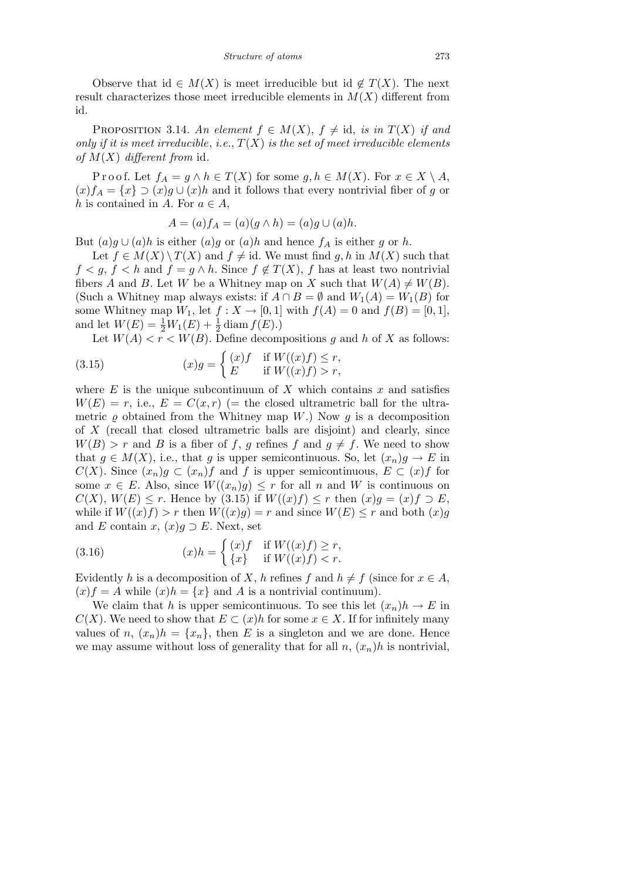Observe that id  $\in M(X)$  is meet irreducible but id  $\notin T(X)$ . The next result characterizes those meet irreducible elements in  $M(X)$  different from id.

PROPOSITION 3.14. An element  $f \in M(X)$ ,  $f \neq id$ , *is in*  $T(X)$  *if and only if it is meet irreducible, i.e.,*  $T(X)$  *is the set of meet irreducible elements of M*(*X*) *different from* id*.*

Proof. Let  $f_A = g \land h \in T(X)$  for some  $g, h \in M(X)$ . For  $x \in X \setminus A$ ,  $(x) f_A = \{x\} \supset (x) g \cup (x) h$  and it follows that every nontrivial fiber of g or *h* is contained in *A*. For  $a \in A$ ,

$$
A = (a) f_A = (a)(g \wedge h) = (a)g \cup (a)h.
$$

But  $(a)g \cup (a)h$  is either  $(a)g$  or  $(a)h$  and hence  $f_A$  is either  $g$  or  $h$ .

Let  $f \in M(X) \setminus T(X)$  and  $f \neq id$ . We must find  $g, h$  in  $M(X)$  such that  $f < g, f < h$  and  $f = g \wedge h$ . Since  $f \notin T(X)$ , *f* has at least two nontrivial fibers *A* and *B*. Let *W* be a Whitney map on *X* such that  $W(A) \neq W(B)$ . (Such a Whitney map always exists: if  $A \cap B = \emptyset$  and  $W_1(A) = W_1(B)$  for some Whitney map  $W_1$ , let  $f: X \to [0, 1]$  with  $f(A) = 0$  and  $f(B) = [0, 1]$ , and let  $W(E) = \frac{1}{2}W_1(E) + \frac{1}{2}\operatorname{diam} f(E)$ .)

Let  $W(A) < r < W(B)$ . Define decompositions g and h of X as follows:

(3.15) 
$$
(x)g = \begin{cases} (x)f & \text{if } W((x)f) \le r, \\ E & \text{if } W((x)f) > r, \end{cases}
$$

where  $E$  is the unique subcontinuum of  $X$  which contains  $x$  and satisfies  $W(E) = r$ , i.e.,  $E = C(x,r)$  (= the closed ultrametric ball for the ultrametric  $\rho$  obtained from the Whitney map *W*.) Now  $q$  is a decomposition of *X* (recall that closed ultrametric balls are disjoint) and clearly, since  $W(B) > r$  and *B* is a fiber of *f*, *g* refines *f* and  $g \neq f$ . We need to show that  $g \in M(X)$ , i.e., that *g* is upper semicontinuous. So, let  $(x_n)g \to E$  in *C*(*X*). Since  $(x_n)g \subset (x_n)f$  and *f* is upper semicontinuous,  $E \subset (x)f$  for some  $x \in E$ . Also, since  $W((x_n)g) \leq r$  for all *n* and *W* is continuous on  $C(X)$ ,  $W(E) \leq r$ . Hence by (3.15) if  $W((x)f) \leq r$  then  $(x)g = (x)f \supset E$ , while if  $W((x)f) > r$  then  $W((x)g) = r$  and since  $W(E) \leq r$  and both  $(x)g$ and *E* contain *x*,  $(x)g \supset E$ . Next, set

(3.16) 
$$
(x)h = \begin{cases} (x)f & \text{if } W((x)f) \ge r, \\ \{x\} & \text{if } W((x)f) < r. \end{cases}
$$

Evidently *h* is a decomposition of *X*, *h* refines *f* and  $h \neq f$  (since for  $x \in A$ ,  $f(x)f = A$  while  $f(x)h = \{x\}$  and A is a nontrivial continuum).

We claim that *h* is upper semicontinuous. To see this let  $(x_n)h \to E$  in *C*(*X*). We need to show that  $E \subset (x)h$  for some  $x \in X$ . If for infinitely many values of *n*,  $(x_n)h = \{x_n\}$ , then *E* is a singleton and we are done. Hence we may assume without loss of generality that for all  $n$ ,  $(x_n)h$  is nontrivial,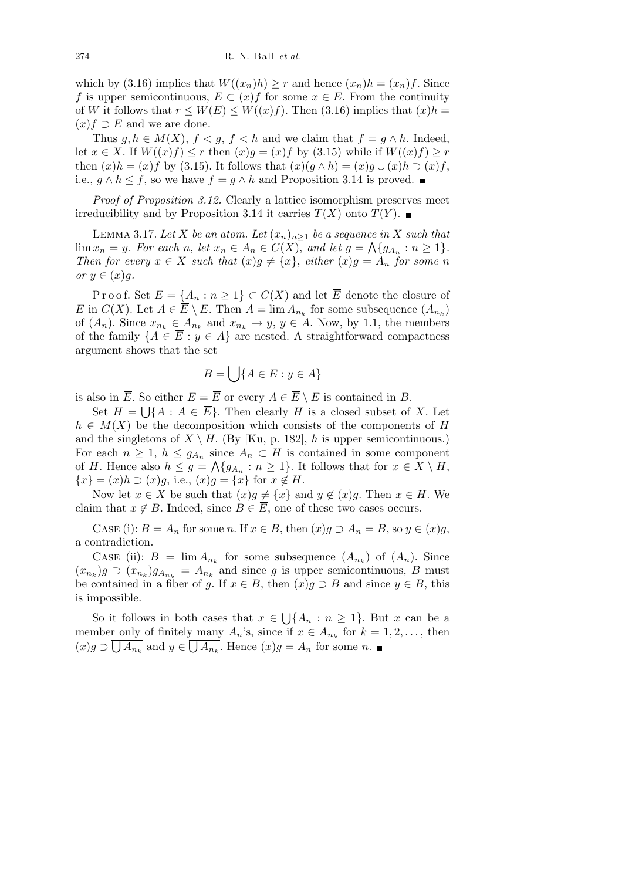which by (3.16) implies that  $W((x_n)h) \geq r$  and hence  $(x_n)h = (x_n)f$ . Since *f* is upper semicontinuous,  $E \subset (x)f$  for some  $x \in E$ . From the continuity of *W* it follows that  $r \leq W(E) \leq W((x)f)$ . Then (3.16) implies that  $(x)h =$  $(x) f \supset E$  and we are done.

Thus  $g, h \in M(X), f < g, f < h$  and we claim that  $f = g \wedge h$ . Indeed, let  $x \in X$ . If  $W((x)f) \leq r$  then  $(x)g = (x)f$  by  $(3.15)$  while if  $W((x)f) \geq r$ then  $(x)h = (x)f$  by (3.15). It follows that  $(x)(q \wedge h) = (x)q \cup (x)h \supseteq (x)f$ , i.e.,  $g \wedge h \leq f$ , so we have  $f = g \wedge h$  and Proposition 3.14 is proved. ■

*Proof of Proposition 3.12.* Clearly a lattice isomorphism preserves meet irreducibility and by Proposition 3.14 it carries  $T(X)$  onto  $T(Y)$ .

LEMMA 3.17. Let *X* be an atom. Let  $(x_n)_{n\geq 1}$  be a sequence in *X* such that  $\lim x_n = y$ . For each n, let  $x_n \in A_n \in C(X)$ , and let  $g = \bigwedge \{g_{A_n} : n \geq 1\}.$ *Then for every*  $x \in X$  *such that*  $(x)g \neq \{x\}$ , *either*  $(x)g = A_n$  *for some n or*  $y \in (x)q$ *.* 

Proof. Set  $E = \{A_n : n \geq 1\} \subset C(X)$  and let  $\overline{E}$  denote the closure of *E* in  $C(X)$ . Let  $A \in \overline{E} \setminus E$ . Then  $A = \lim A_{n_k}$  for some subsequence  $(A_{n_k})$ of  $(A_n)$ . Since  $x_{n_k} \in A_{n_k}$  and  $x_{n_k} \to y$ ,  $y \in A$ . Now, by 1.1, the members of the family  ${A \in \overline{E} : y \in A}$  are nested. A straightforward compactness argument shows that the set

$$
B = \overline{\bigcup\{A \in \overline{E} : y \in A\}}
$$

is also in  $\overline{E}$ . So either  $E = \overline{E}$  or every  $A \in \overline{E} \setminus E$  is contained in *B*.

Set  $H = \bigcup\{A : A \in \overline{E}\}$ . Then clearly *H* is a closed subset of *X*. Let  $h \in M(X)$  be the decomposition which consists of the components of *H* and the singletons of  $X \setminus H$ . (By [Ku, p. 182], *h* is upper semicontinuous.) For each  $n \geq 1$ ,  $h \leq g_{A_n}$  since  $A_n \subset H$  is contained in some component of *H*. Hence also  $h \leq g = \bigwedge \{g_{A_n} : n \geq 1\}$ . It follows that for  $x \in X \setminus H$ ,  ${x}$ <sup>*z*</sup> = (*x*)*h*  $\supset (x)g$ , i.e., (*x*)*g* = {*x*} for *x*  $\notin H$ .

Now let  $x \in X$  be such that  $(x)g \neq \{x\}$  and  $y \notin (x)g$ . Then  $x \in H$ . We claim that  $x \notin B$ . Indeed, since  $B \in \overline{E}$ , one of these two cases occurs.

CASE (i):  $B = A_n$  for some *n*. If  $x \in B$ , then  $(x)g \supset A_n = B$ , so  $y \in (x)g$ , a contradiction.

CASE (ii):  $B = \lim A_{n_k}$  for some subsequence  $(A_{n_k})$  of  $(A_n)$ . Since  $(x_{n_k})g \supset (x_{n_k})g_{A_{n_k}} = A_{n_k}$  and since *g* is upper semicontinuous, *B* must be contained in a fiber of *g*. If  $x \in B$ , then  $(x)g \supset B$  and since  $y \in B$ , this is impossible.

So it follows in both cases that *x ∈* S *{A<sup>n</sup>* : *n ≥* 1*}*. But *x* can be a member only of finitely many  $A_n$ 's, since if  $x \in A_{n_k}$  for  $k = 1, 2, \ldots$ , then  $(x)g \supset \bigcup A_{n_k}$  and  $y \in \bigcup A_{n_k}$ . Hence  $(x)g = A_n$  for some *n*.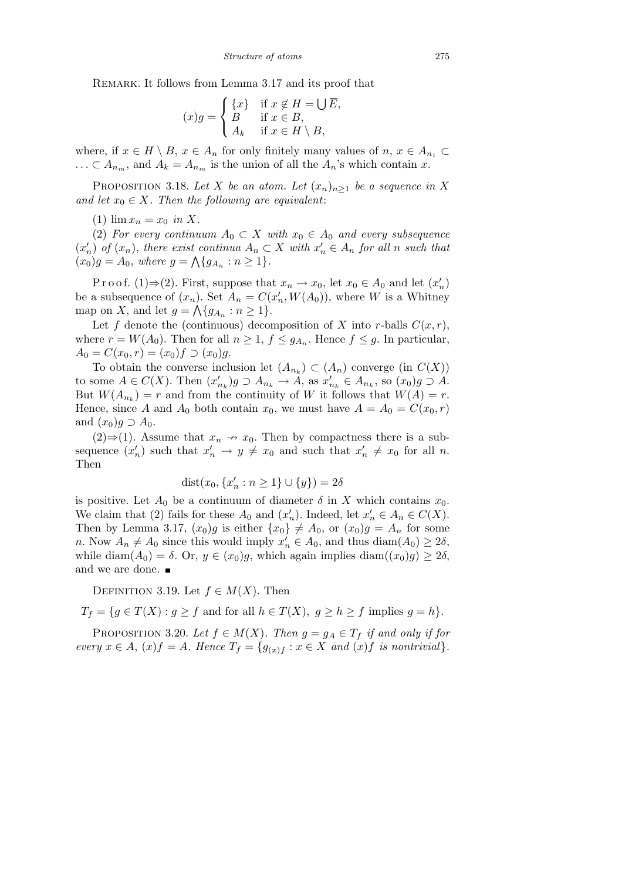REMARK. It follows from Lemma 3.17 and its proof that

$$
(x)g = \begin{cases} \{x\} & \text{if } x \notin H = \bigcup \overline{E}, \\ B & \text{if } x \in B, \\ A_k & \text{if } x \in H \setminus B, \end{cases}
$$

where, if  $x \in H \setminus B$ ,  $x \in A_n$  for only finitely many values of  $n, x \in A_{n_1} \subset$ *...* ⊂ *A*<sub>*nm*</sub>, and *A*<sub>*k*</sub> = *A*<sub>*nm*</sub> is the union of all the *A<sub>n</sub>*'s which contain *x*.

PROPOSITION 3.18. Let *X* be an atom. Let  $(x_n)_{n\geq 1}$  be a sequence in *X and let*  $x_0 \in X$ *. Then the following are equivalent:* 

 $(1)$   $\lim x_n = x_0$  *in X.* 

(2) *For every continuum*  $A_0 \subset X$  *with*  $x_0 \in A_0$  *and every subsequence*  $(x'_n)$  of  $(x_n)$ , there exist continua  $A_n \subset X$  with  $x'_n \in A_n$  for all n such that  $(x_0)g = A_0$ , where  $g = \Lambda\{g_{A_n} : n \geq 1\}.$ 

Proof. (1) $\Rightarrow$ (2). First, suppose that  $x_n \to x_0$ , let  $x_0 \in A_0$  and let  $(x'_n)$ be a subsequence of  $(x_n)$ . Set  $A_n = C(x'_n, W(A_0))$ , where *W* is a Whitney map on *X*, and let  $g = \bigwedge \{g_{A_n} : n \geq 1\}.$ 

Let f denote the (continuous) decomposition of X into r-balls  $C(x, r)$ , where  $r = W(A_0)$ . Then for all  $n \geq 1$ ,  $f \leq g_{A_n}$ . Hence  $f \leq g$ . In particular,  $A_0 = C(x_0, r) = (x_0)f \supseteq (x_0)g.$ 

To obtain the converse inclusion let  $(A_{n_k}) \subset (A_n)$  converge (in  $C(X)$ ) to some  $A \in C(X)$ . Then  $(x'_{n_k})g \supset A_{n_k} \to A$ , as  $x'_{n_k} \in A_{n_k}$ , so  $(x_0)g \supset A$ . But  $W(A_{n_k}) = r$  and from the continuity of *W* it follows that  $W(A) = r$ . Hence, since *A* and  $A_0$  both contain  $x_0$ , we must have  $A = A_0 = C(x_0, r)$ and  $(x_0)g \supset A_0$ .

 $(2) \Rightarrow (1)$ . Assume that  $x_n \rightarrow x_0$ . Then by compactness there is a subsequence  $(x'_n)$  such that  $x'_n \to y \neq x_0$  and such that  $x'_n \neq x_0$  for all *n*. Then

$$
dist(x_0, \{x'_n : n \ge 1\} \cup \{y\}) = 2\delta
$$

is positive. Let  $A_0$  be a continuum of diameter  $\delta$  in X which contains  $x_0$ . We claim that (2) fails for these  $A_0$  and  $(x'_n)$ . Indeed, let  $x'_n \in A_n \in C(X)$ . Then by Lemma 3.17,  $(x_0)g$  is either  $\{x_0\} \neq A_0$ , or  $(x_0)g = A_n$  for some *n*. Now  $A_n \neq A_0$  since this would imply  $x'_n \in A_0$ , and thus diam $(A_0) \geq 2\delta$ , while diam( $A_0$ ) =  $\delta$ . Or,  $y \in (x_0)g$ , which again implies diam( $(x_0)g$ )  $\geq 2\delta$ , and we are done.

DEFINITION 3.19. Let  $f \in M(X)$ . Then

 $T_f = \{ g \in T(X) : g \ge f \text{ and for all } h \in T(X), g \ge h \ge f \text{ implies } g = h \}.$ 

PROPOSITION 3.20. Let  $f \in M(X)$ . Then  $g = g_A \in T_f$  if and only if for every  $x \in A$ ,  $(x) f = A$ . Hence  $T_f = \{g_{(x)f} : x \in X \text{ and } (x)f \text{ is nontrivial}\}.$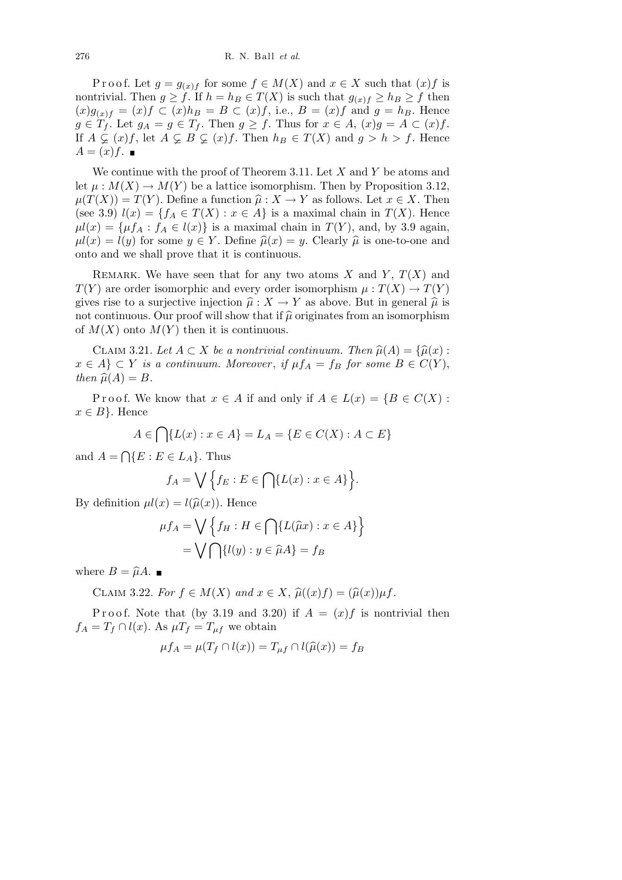Proof. Let  $g = g_{(x)f}$  for some  $f \in M(X)$  and  $x \in X$  such that  $(x)f$  is nontrivial. Then  $g \ge f$ . If  $h = h_B \in T(X)$  is such that  $g_{(x)f} \ge h_B \ge f$  then  $(x)g_{(x)f} = (x)f$  ⊂  $(x)h_B = B$  ⊂  $(x)f$ , i.e.,  $B = (x)f$  and  $g = h_B$ . Hence  $g \in T_f$ . Let  $g_A = g \in T_f$ . Then  $g \ge f$ . Thus for  $x \in A$ ,  $(x)g = A \subset (x)f$ . If  $A \subsetneq (x)f$ , let  $A \subsetneq B \subsetneq (x)f$ . Then  $h_B \in T(X)$  and  $g > h > f$ . Hence  $A = (x) f$ .

We continue with the proof of Theorem 3.11. Let *X* and *Y* be atoms and let  $\mu : M(X) \to M(Y)$  be a lattice isomorphism. Then by Proposition 3.12,  $\mu(T(X)) = T(Y)$ . Define a function  $\hat{\mu}: X \to Y$  as follows. Let  $x \in X$ . Then (see 3.9)  $l(x) = \{f_A \in T(X) : x \in A\}$  is a maximal chain in  $T(X)$ . Hence  $\mu l(x) = \{\mu f_A : f_A \in l(x)\}\$ is a maximal chain in  $T(Y)$ , and, by 3.9 again,  $\mu l(x) = l(y)$  for some  $y \in Y$ . Define  $\hat{\mu}(x) = y$ . Clearly  $\hat{\mu}$  is one-to-one and onto and we shall prove that it is continuous.

REMARK. We have seen that for any two atoms  $X$  and  $Y$ ,  $T(X)$  and *T*(*Y*) are order isomorphic and every order isomorphism  $\mu : T(X) \to T(Y)$ gives rise to a surjective injection  $\hat{\mu}: X \to Y$  as above. But in general  $\hat{\mu}$  is not continuous. Our proof will show that if  $\hat{\mu}$  originates from an isomorphism of  $M(X)$  onto  $M(Y)$  then it is continuous.

CLAIM 3.21. Let  $A \subset X$  be a nontrivial continuum. Then  $\widehat{\mu}(A) = {\widehat{\mu}(x)}$ : *x* ∈ *A*} ⊂ *Y is a continuum. Moreover, if*  $\mu f_A = f_B$  *for some*  $B \in C(Y)$ , *then*  $\widehat{\mu}(A) = B$ *.* 

Proof. We know that  $x \in A$  if and only if  $A \in L(x) = \{B \in C(X) :$  $x \in B$ . Hence

$$
A \in \bigcap \{ L(x) : x \in A \} = L_A = \{ E \in C(X) : A \subset E \}
$$

and  $A =$  $\overline{a}$  ${E : E \in L_A}.$  Thus

$$
f_A = \bigvee \Big\{ f_E : E \in \bigcap \{ L(x) : x \in A \} \Big\}.
$$

By definition  $\mu l(x) = l(\hat{\mu}(x))$ . Hence

$$
\mu f_A = \bigvee \left\{ f_H : H \in \bigcap \{ L(\widehat{\mu}x) : x \in A \} \right\}
$$

$$
= \bigvee \bigcap \{ l(y) : y \in \widehat{\mu}A \} = f_B
$$

where  $B = \hat{\mu}A$ .

CLAIM 3.22. For  $f \in M(X)$  and  $x \in X$ ,  $\hat{\mu}((x)f) = (\hat{\mu}(x))\mu f$ .

Proof. Note that (by 3.19 and 3.20) if  $A = (x)f$  is nontrivial then  $f_A = T_f \cap l(x)$ . As  $\mu T_f = T_{\mu f}$  we obtain

$$
\mu f_A = \mu(T_f \cap l(x)) = T_{\mu f} \cap l(\widehat{\mu}(x)) = f_B
$$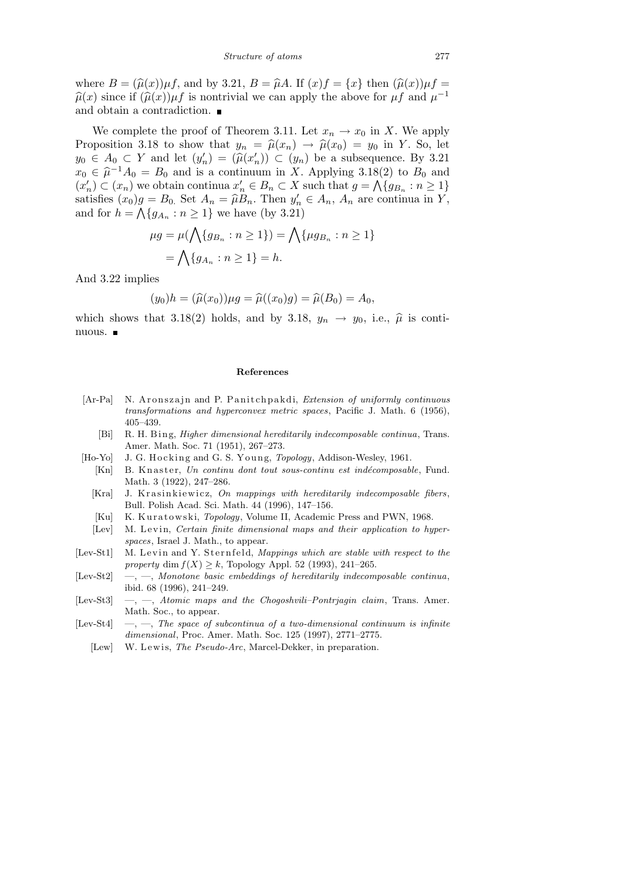where  $B = (\hat{\mu}(x))\mu f$ , and by 3.21,  $B = \hat{\mu}A$ . If  $(x)f = \{x\}$  then  $(\hat{\mu}(x))\mu f =$  $\widehat{\mu}(x)$  since if  $(\widehat{\mu}(x))\mu f$  is nontrivial we can apply the above for  $\mu f$  and  $\mu^{-1}$ and obtain a contradiction.

We complete the proof of Theorem 3.11. Let  $x_n \to x_0$  in X. We apply Proposition 3.18 to show that  $y_n = \hat{\mu}(x_n) \rightarrow \hat{\mu}(x_0) = y_0$  in *Y*. So, let *y*<sub>0</sub> ∈ *A*<sub>0</sub> ⊂ *Y* and let  $(y'_n) = (\hat{\mu}(x'_n)) \subset (y_n)$  be a subsequence. By 3.21  $x_0 \in \hat{\mu}^{-1}A_0 = B_0$  and is a continuum in *X*. Applying 3.18(2) to  $B_0$  and  $(x'_n) \subset (x_n)$  we obtain continua  $x'_n \in B_n \subset X$  such that  $g = \bigwedge \{g_{B_n} : n \geq 1\}$ satisfies  $(x_0)g = B_0$ . Set  $A_n = \hat{\mu}B_n$ . Then  $y'_n \in A_n$ ,  $A_n$  are continua in *Y*, and for  $h = \bigwedge \{g_{A_n} : n \geq 1\}$  we have (by 3.21)

$$
\mu g = \mu(\bigwedge \{g_{B_n} : n \ge 1\}) = \bigwedge \{\mu g_{B_n} : n \ge 1\}
$$

$$
= \bigwedge \{g_{A_n} : n \ge 1\} = h.
$$

And 3.22 implies

$$
(y_0)h = (\hat{\mu}(x_0))\mu g = \hat{\mu}((x_0)g) = \hat{\mu}(B_0) = A_0,
$$

which shows that 3.18(2) holds, and by 3.18,  $y_n \rightarrow y_0$ , i.e.,  $\hat{\mu}$  is continuous.

## **References**

- [Ar-Pa] N. Aronszajn and P. Panitchpakdi, *Extension of uniformly continuous transformations and hyperconvex metric spaces*, Pacific J. Math. 6 (1956), 405–439.
	- [Bi] R. H. Bing, *Higher dimensional hereditarily indecomposable continua*, Trans. Amer. Math. Soc. 71 (1951), 267–273.
- [Ho-Yo] J. G. Hocking and G. S. Young, *Topology*, Addison-Wesley, 1961.
	- [Kn] B. Knaster, *Un continu dont tout sous-continu est indécomposable*, Fund. Math. 3 (1922), 247–286.
	- [Kra] J. Krasinkiewicz, *On mappings with hereditarily indecomposable fibers*, Bull. Polish Acad. Sci. Math. 44 (1996), 147–156.
	- [Ku] K. Kuratowski, *Topology*, Volume II, Academic Press and PWN, 1968.
	- [Lev] M. Levin, *Certain finite dimensional maps and their application to hyperspaces*, Israel J. Math., to appear.
- [Lev-St1] M. Levin and Y. Sternfeld, *Mappings which are stable with respect to the property* dim  $f(X) \geq k$ , Topology Appl. 52 (1993), 241–265.
- [Lev-St2] —, —, *Monotone basic embeddings of hereditarily indecomposable continua*, ibid. 68 (1996), 241–249.
- [Lev-St3] —, —, *Atomic maps and the Chogoshvili–Pontrjagin claim*, Trans. Amer. Math. Soc., to appear.
- [Lev-St4] —, —, *The space of subcontinua of a two-dimensional continuum is infinite dimensional*, Proc. Amer. Math. Soc. 125 (1997), 2771–2775.
	- [Lew] W. Lewis, *The Pseudo-Arc*, Marcel-Dekker, in preparation.